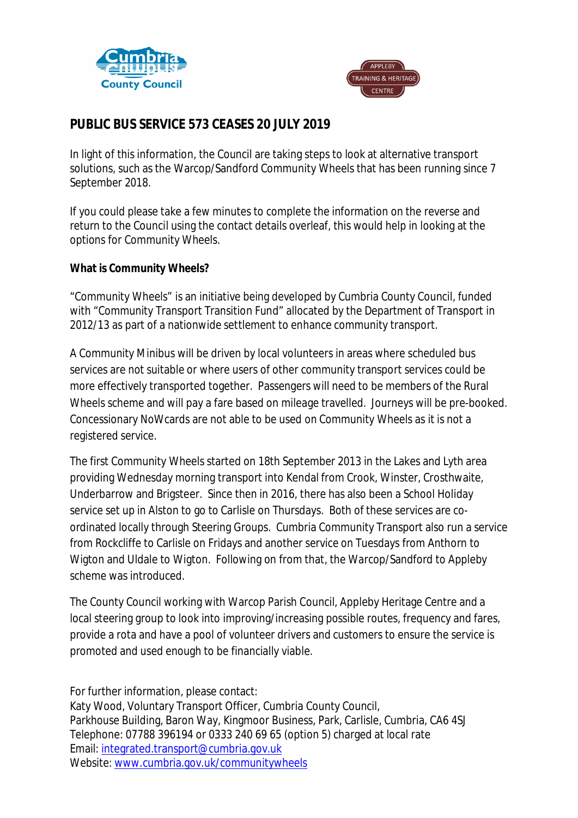



## **PUBLIC BUS SERVICE 573 CEASES 20 JULY 2019**

In light of this information, the Council are taking steps to look at alternative transport solutions, such as the Warcop/Sandford Community Wheels that has been running since 7 September 2018.

If you could please take a few minutes to complete the information on the reverse and return to the Council using the contact details overleaf, this would help in looking at the options for Community Wheels.

**What is Community Wheels?**

"Community Wheels" is an initiative being developed by Cumbria County Council, funded with "Community Transport Transition Fund" allocated by the Department of Transport in 2012/13 as part of a nationwide settlement to enhance community transport.

A Community Minibus will be driven by local volunteers in areas where scheduled bus services are not suitable or where users of other community transport services could be more effectively transported together. Passengers will need to be members of the Rural Wheels scheme and will pay a fare based on mileage travelled. Journeys will be pre-booked. Concessionary NoWcards are not able to be used on Community Wheels as it is not a registered service.

The first Community Wheels started on 18th September 2013 in the Lakes and Lyth area providing Wednesday morning transport into Kendal from Crook, Winster, Crosthwaite, Underbarrow and Brigsteer. Since then in 2016, there has also been a School Holiday service set up in Alston to go to Carlisle on Thursdays. Both of these services are coordinated locally through Steering Groups. Cumbria Community Transport also run a service from Rockcliffe to Carlisle on Fridays and another service on Tuesdays from Anthorn to Wigton and Uldale to Wigton. Following on from that, the Warcop/Sandford to Appleby scheme was introduced.

The County Council working with Warcop Parish Council, Appleby Heritage Centre and a local steering group to look into improving/increasing possible routes, frequency and fares, provide a rota and have a pool of volunteer drivers and customers to ensure the service is promoted and used enough to be financially viable.

For further information, please contact: Katy Wood, Voluntary Transport Officer, Cumbria County Council, Parkhouse Building, Baron Way, Kingmoor Business, Park, Carlisle, Cumbria, CA6 4SJ Telephone: 07788 396194 or 0333 240 69 65 (option 5) charged at local rate Email: integrated.transport@cumbria.gov.uk Website: www.cumbria.gov.uk/communitywheels